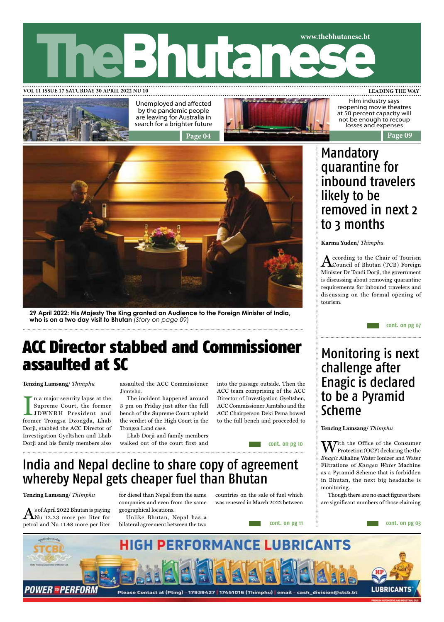



Unemployed and affected by the pandemic people are leaving for Australia in search for a brighter future



Film industry says reopening movie theatres at 50 percent capacity will not be enough to recoup losses and expenses



**29 April 2022: His Majesty The King granted an Audience to the Foreign Minister of India, who is on a two day visit to Bhutan** (*Story on page 09*)

## ACC Director stabbed and Commissioner assaulted at SC

**Tenzing Lamsang/** *Thimphu*

I a major security lapse at the<br>Supreme Court, the former<br>JDWNRH President and<br>former Trongsa Dzongda, Lhab n a major security lapse at the Supreme Court, the former JDWNRH President and Dorji, stabbed the ACC Director of Investigation Gyeltshen and Lhab Dorji and his family members also

assaulted the ACC Commissioner Jamtsho.

The incident happened around 3 pm on Friday just after the full bench of the Supreme Court upheld the verdict of the High Court in the Trongsa Land case.

Lhab Dorji and family members walked out of the court first and into the passage outside. Then the ACC team comprising of the ACC Director of Investigation Gyeltshen, ACC Commissioner Jamtsho and the ACC Chairperson Deki Pema bowed to the full bench and proceeded to

**cont. on pg 10**

**cont. on pg 11**

## India and Nepal decline to share copy of agreement whereby Nepal gets cheaper fuel than Bhutan

**Tenzing Lamsang/** *Thimphu* 

 $\bigwedge$ s of April 2022 Bhutan is paying<br>ANu 12.23 more per liter for petrol and Nu 11.48 more per liter

for diesel than Nepal from the same companies and even from the same geographical locations.

Unlike Bhutan, Nepal has a bilateral agreement between the two countries on the sale of fuel which was renewed in March 2022 between

## Mandatory quarantine for inbound travelers likely to be removed in next 2 to 3 months

**Karma Yuden/** *Thimphu* 

According to the Chair of Tourism Council of Bhutan (TCB) Foreign Minister Dr Tandi Dorji, the government is discussing about removing quarantine requirements for inbound travelers and discussing on the formal opening of tourism.

**cont. on pg 07**

## Monitoring is next challenge after Enagic is declared to be a Pyramid Scheme

### **Tenzing Lamsang/** *Thimphu*

With the Office of the Consumer Protection (OCP) declaring the the *Enagic* Alkaline Water Ionizer and Water Filtrations of *Kangen Water* Machine as a Pyramid Scheme that is forbidden in Bhutan, the next big headache is monitoring.

Though there are no exact figures there are significant numbers of those claiming